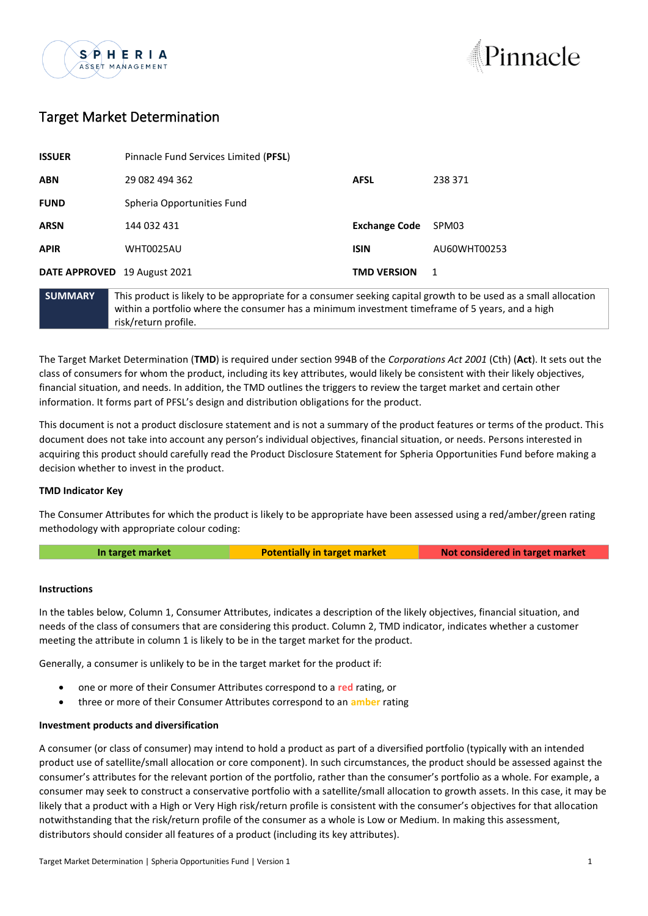



# Target Market Determination

| <b>ISSUER</b>                | Pinnacle Fund Services Limited (PFSL)                                                            |                      |              |
|------------------------------|--------------------------------------------------------------------------------------------------|----------------------|--------------|
| <b>ABN</b>                   | 29 082 494 362                                                                                   | <b>AFSL</b>          | 238 371      |
| <b>FUND</b>                  | Spheria Opportunities Fund                                                                       |                      |              |
| <b>ARSN</b>                  | 144 032 431                                                                                      | <b>Exchange Code</b> | SPM03        |
| <b>APIR</b>                  | <b>WHT0025AU</b>                                                                                 | <b>ISIN</b>          | AU60WHT00253 |
| DATE APPROVED 19 August 2021 |                                                                                                  | <b>TMD VERSION</b>   | 1            |
| <b>SUMMARY</b>               | This product is likely to be appropriate for a consumer seeking capital growth to be used as a s |                      |              |

**SUMMARY** This product is likely to be appropriate for a consumer seeking capital growth to be used as a small allocation within a portfolio where the consumer has a minimum investment timeframe of 5 years, and a high risk/return profile.

The Target Market Determination (**TMD**) is required under section 994B of the *Corporations Act 2001* (Cth) (**Act**). It sets out the class of consumers for whom the product, including its key attributes, would likely be consistent with their likely objectives, financial situation, and needs. In addition, the TMD outlines the triggers to review the target market and certain other information. It forms part of PFSL's design and distribution obligations for the product.

This document is not a product disclosure statement and is not a summary of the product features or terms of the product. This document does not take into account any person's individual objectives, financial situation, or needs. Persons interested in acquiring this product should carefully read the Product Disclosure Statement for Spheria Opportunities Fund before making a decision whether to invest in the product.

## **TMD Indicator Key**

The Consumer Attributes for which the product is likely to be appropriate have been assessed using a red/amber/green rating methodology with appropriate colour coding:

**In target market Potentially in target market Not considered in target market**

## **Instructions**

In the tables below, Column 1, Consumer Attributes, indicates a description of the likely objectives, financial situation, and needs of the class of consumers that are considering this product. Column 2, TMD indicator, indicates whether a customer meeting the attribute in column 1 is likely to be in the target market for the product.

Generally, a consumer is unlikely to be in the target market for the product if:

- one or more of their Consumer Attributes correspond to a **red** rating, or
- three or more of their Consumer Attributes correspond to an **amber** rating

## **Investment products and diversification**

A consumer (or class of consumer) may intend to hold a product as part of a diversified portfolio (typically with an intended product use of satellite/small allocation or core component). In such circumstances, the product should be assessed against the consumer's attributes for the relevant portion of the portfolio, rather than the consumer's portfolio as a whole. For example, a consumer may seek to construct a conservative portfolio with a satellite/small allocation to growth assets. In this case, it may be likely that a product with a High or Very High risk/return profile is consistent with the consumer's objectives for that allocation notwithstanding that the risk/return profile of the consumer as a whole is Low or Medium. In making this assessment, distributors should consider all features of a product (including its key attributes).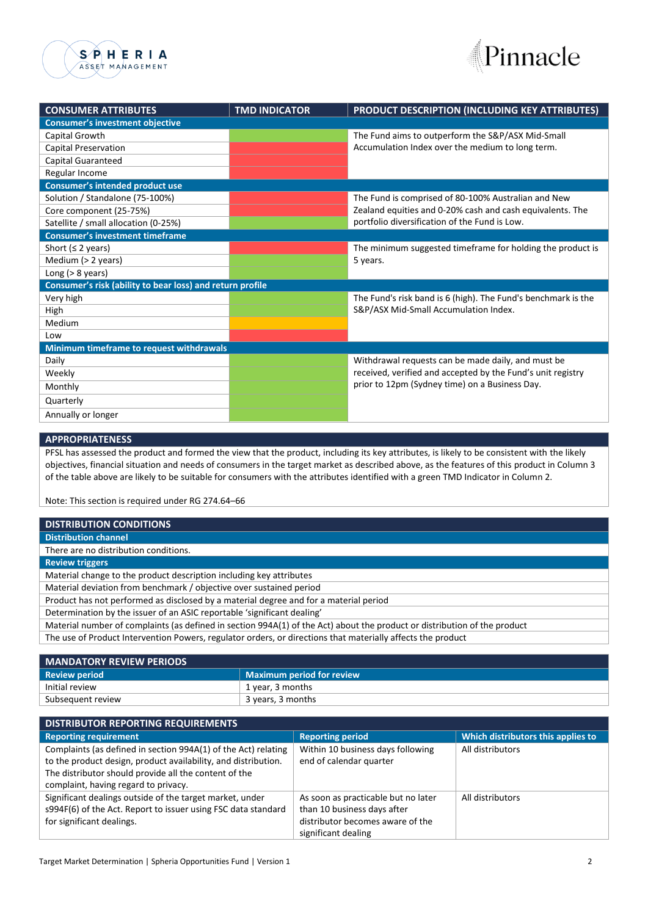



| <b>CONSUMER ATTRIBUTES</b>               | <b>TMD INDICATOR</b>                                      | PRODUCT DESCRIPTION (INCLUDING KEY ATTRIBUTES)                |  |  |  |
|------------------------------------------|-----------------------------------------------------------|---------------------------------------------------------------|--|--|--|
| <b>Consumer's investment objective</b>   |                                                           |                                                               |  |  |  |
| Capital Growth                           |                                                           | The Fund aims to outperform the S&P/ASX Mid-Small             |  |  |  |
| <b>Capital Preservation</b>              |                                                           | Accumulation Index over the medium to long term.              |  |  |  |
| Capital Guaranteed                       |                                                           |                                                               |  |  |  |
| Regular Income                           |                                                           |                                                               |  |  |  |
| <b>Consumer's intended product use</b>   |                                                           |                                                               |  |  |  |
| Solution / Standalone (75-100%)          |                                                           | The Fund is comprised of 80-100% Australian and New           |  |  |  |
| Core component (25-75%)                  |                                                           | Zealand equities and 0-20% cash and cash equivalents. The     |  |  |  |
| Satellite / small allocation (0-25%)     |                                                           | portfolio diversification of the Fund is Low.                 |  |  |  |
| <b>Consumer's investment timeframe</b>   |                                                           |                                                               |  |  |  |
| Short ( $\leq$ 2 years)                  |                                                           | The minimum suggested timeframe for holding the product is    |  |  |  |
| Medium (> 2 years)                       |                                                           | 5 years.                                                      |  |  |  |
| Long $(> 8$ years)                       |                                                           |                                                               |  |  |  |
|                                          | Consumer's risk (ability to bear loss) and return profile |                                                               |  |  |  |
| Very high                                |                                                           | The Fund's risk band is 6 (high). The Fund's benchmark is the |  |  |  |
| High                                     |                                                           | S&P/ASX Mid-Small Accumulation Index.                         |  |  |  |
| Medium                                   |                                                           |                                                               |  |  |  |
| Low                                      |                                                           |                                                               |  |  |  |
| Minimum timeframe to request withdrawals |                                                           |                                                               |  |  |  |
| Daily                                    |                                                           | Withdrawal requests can be made daily, and must be            |  |  |  |
| Weekly                                   |                                                           | received, verified and accepted by the Fund's unit registry   |  |  |  |
| Monthly                                  |                                                           | prior to 12pm (Sydney time) on a Business Day.                |  |  |  |
| Quarterly                                |                                                           |                                                               |  |  |  |
| Annually or longer                       |                                                           |                                                               |  |  |  |

### **APPROPRIATENESS**

PFSL has assessed the product and formed the view that the product, including its key attributes, is likely to be consistent with the likely objectives, financial situation and needs of consumers in the target market as described above, as the features of this product in Column 3 of the table above are likely to be suitable for consumers with the attributes identified with a green TMD Indicator in Column 2.

Note: This section is required under RG 274.64–66

| <b>DISTRIBUTION CONDITIONS</b>                                                                                            |  |  |
|---------------------------------------------------------------------------------------------------------------------------|--|--|
| <b>Distribution channel</b>                                                                                               |  |  |
| There are no distribution conditions.                                                                                     |  |  |
| <b>Review triggers</b>                                                                                                    |  |  |
| Material change to the product description including key attributes                                                       |  |  |
| Material deviation from benchmark / objective over sustained period                                                       |  |  |
| Product has not performed as disclosed by a material degree and for a material period                                     |  |  |
| Determination by the issuer of an ASIC reportable 'significant dealing'                                                   |  |  |
| Material number of complaints (as defined in section 994A(1) of the Act) about the product or distribution of the product |  |  |
| The use of Product Intervention Powers, regulator orders, or directions that materially affects the product               |  |  |
|                                                                                                                           |  |  |

| <b>MANDATORY REVIEW PERIODS</b>  |  |  |
|----------------------------------|--|--|
| <b>Maximum period for review</b> |  |  |
| 1 year, 3 months                 |  |  |
| 3 years, 3 months                |  |  |
|                                  |  |  |

| <b>DISTRIBUTOR REPORTING REQUIREMENTS</b>                                                                                                                                                 |                                                              |                                    |  |  |
|-------------------------------------------------------------------------------------------------------------------------------------------------------------------------------------------|--------------------------------------------------------------|------------------------------------|--|--|
| <b>Reporting requirement</b>                                                                                                                                                              | <b>Reporting period</b>                                      | Which distributors this applies to |  |  |
| Complaints (as defined in section 994A(1) of the Act) relating<br>to the product design, product availability, and distribution.<br>The distributor should provide all the content of the | Within 10 business days following<br>end of calendar quarter | All distributors                   |  |  |
| complaint, having regard to privacy.                                                                                                                                                      |                                                              |                                    |  |  |
| Significant dealings outside of the target market, under                                                                                                                                  | As soon as practicable but no later                          | All distributors                   |  |  |
| s994F(6) of the Act. Report to issuer using FSC data standard                                                                                                                             | than 10 business days after                                  |                                    |  |  |
| for significant dealings.                                                                                                                                                                 | distributor becomes aware of the                             |                                    |  |  |
|                                                                                                                                                                                           | significant dealing                                          |                                    |  |  |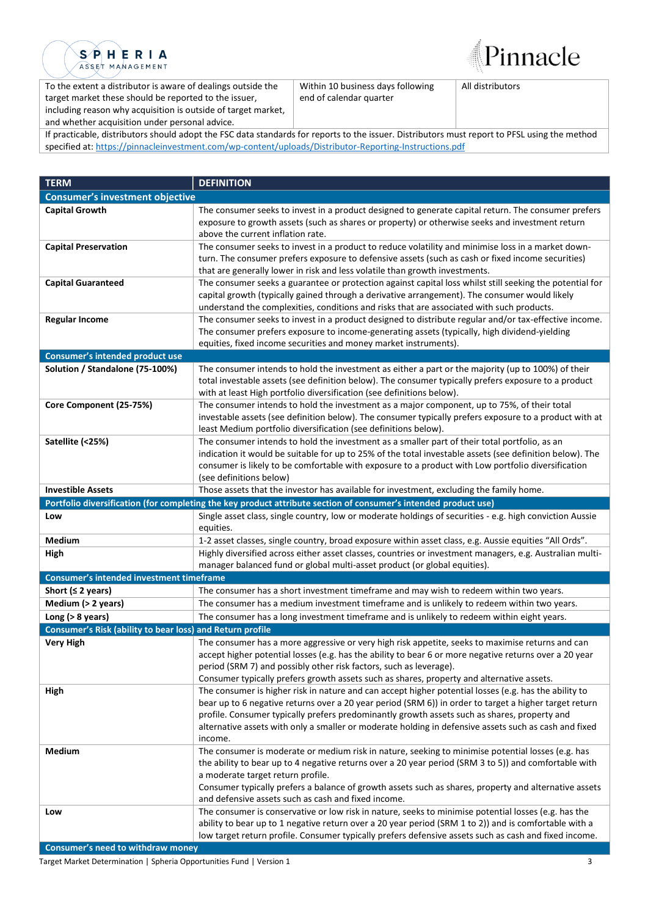



To the extent a distributor is aware of dealings outside the target market these should be reported to the issuer, including reason why acquisition is outside of target market, and whether acquisition under personal advice.

Within 10 business days following end of calendar quarter

All distributors

If practicable, distributors should adopt the FSC data standards for reports to the issuer. Distributors must report to PFSL using the method specified at: [https://pinnacleinvestment.com/wp-content/uploads/Distributor-Reporting-Instructions.pdf](https://aus01.safelinks.protection.outlook.com/?url=https%3A%2F%2Fpinnacleinvestment.com%2Fwp-content%2Fuploads%2FDistributor-Reporting-Instructions.pdf&data=04%7C01%7CRobbie.Zhong%40pinnacleinvestment.com%7Cb4c1b788df954b03f26408d9675577fa%7C35cf8e31ecbc469399faa3d4d4dbd0de%7C0%7C0%7C637654439063852174%7CUnknown%7CTWFpbGZsb3d8eyJWIjoiMC4wLjAwMDAiLCJQIjoiV2luMzIiLCJBTiI6Ik1haWwiLCJXVCI6Mn0%3D%7C1000&sdata=z3%2BDpshdl6t4wDnSgUIdZS0YIuaCk9GXg1FCwIAbEV4%3D&reserved=0)

| <b>Consumer's investment objective</b><br><b>Capital Growth</b><br>The consumer seeks to invest in a product designed to generate capital return. The consumer prefers<br>exposure to growth assets (such as shares or property) or otherwise seeks and investment return<br>above the current inflation rate.<br>The consumer seeks to invest in a product to reduce volatility and minimise loss in a market down-<br><b>Capital Preservation</b><br>turn. The consumer prefers exposure to defensive assets (such as cash or fixed income securities) |
|----------------------------------------------------------------------------------------------------------------------------------------------------------------------------------------------------------------------------------------------------------------------------------------------------------------------------------------------------------------------------------------------------------------------------------------------------------------------------------------------------------------------------------------------------------|
|                                                                                                                                                                                                                                                                                                                                                                                                                                                                                                                                                          |
|                                                                                                                                                                                                                                                                                                                                                                                                                                                                                                                                                          |
|                                                                                                                                                                                                                                                                                                                                                                                                                                                                                                                                                          |
|                                                                                                                                                                                                                                                                                                                                                                                                                                                                                                                                                          |
|                                                                                                                                                                                                                                                                                                                                                                                                                                                                                                                                                          |
|                                                                                                                                                                                                                                                                                                                                                                                                                                                                                                                                                          |
| that are generally lower in risk and less volatile than growth investments.                                                                                                                                                                                                                                                                                                                                                                                                                                                                              |
| <b>Capital Guaranteed</b><br>The consumer seeks a guarantee or protection against capital loss whilst still seeking the potential for                                                                                                                                                                                                                                                                                                                                                                                                                    |
| capital growth (typically gained through a derivative arrangement). The consumer would likely                                                                                                                                                                                                                                                                                                                                                                                                                                                            |
| understand the complexities, conditions and risks that are associated with such products.<br>The consumer seeks to invest in a product designed to distribute regular and/or tax-effective income.<br><b>Regular Income</b>                                                                                                                                                                                                                                                                                                                              |
| The consumer prefers exposure to income-generating assets (typically, high dividend-yielding                                                                                                                                                                                                                                                                                                                                                                                                                                                             |
| equities, fixed income securities and money market instruments).                                                                                                                                                                                                                                                                                                                                                                                                                                                                                         |
| Consumer's intended product use                                                                                                                                                                                                                                                                                                                                                                                                                                                                                                                          |
| Solution / Standalone (75-100%)<br>The consumer intends to hold the investment as either a part or the majority (up to 100%) of their                                                                                                                                                                                                                                                                                                                                                                                                                    |
| total investable assets (see definition below). The consumer typically prefers exposure to a product                                                                                                                                                                                                                                                                                                                                                                                                                                                     |
| with at least High portfolio diversification (see definitions below).                                                                                                                                                                                                                                                                                                                                                                                                                                                                                    |
| Core Component (25-75%)<br>The consumer intends to hold the investment as a major component, up to 75%, of their total                                                                                                                                                                                                                                                                                                                                                                                                                                   |
| investable assets (see definition below). The consumer typically prefers exposure to a product with at                                                                                                                                                                                                                                                                                                                                                                                                                                                   |
| least Medium portfolio diversification (see definitions below).                                                                                                                                                                                                                                                                                                                                                                                                                                                                                          |
| Satellite (<25%)<br>The consumer intends to hold the investment as a smaller part of their total portfolio, as an                                                                                                                                                                                                                                                                                                                                                                                                                                        |
| indication it would be suitable for up to 25% of the total investable assets (see definition below). The                                                                                                                                                                                                                                                                                                                                                                                                                                                 |
| consumer is likely to be comfortable with exposure to a product with Low portfolio diversification                                                                                                                                                                                                                                                                                                                                                                                                                                                       |
| (see definitions below)<br><b>Investible Assets</b>                                                                                                                                                                                                                                                                                                                                                                                                                                                                                                      |
| Those assets that the investor has available for investment, excluding the family home.                                                                                                                                                                                                                                                                                                                                                                                                                                                                  |
| Portfolio diversification (for completing the key product attribute section of consumer's intended product use)                                                                                                                                                                                                                                                                                                                                                                                                                                          |
| Single asset class, single country, low or moderate holdings of securities - e.g. high conviction Aussie<br>Low<br>equities.                                                                                                                                                                                                                                                                                                                                                                                                                             |
| Medium<br>1-2 asset classes, single country, broad exposure within asset class, e.g. Aussie equities "All Ords".                                                                                                                                                                                                                                                                                                                                                                                                                                         |
| High<br>Highly diversified across either asset classes, countries or investment managers, e.g. Australian multi-                                                                                                                                                                                                                                                                                                                                                                                                                                         |
| manager balanced fund or global multi-asset product (or global equities).                                                                                                                                                                                                                                                                                                                                                                                                                                                                                |
| <b>Consumer's intended investment timeframe</b>                                                                                                                                                                                                                                                                                                                                                                                                                                                                                                          |
| Short ( $\leq$ 2 years)<br>The consumer has a short investment timeframe and may wish to redeem within two years.                                                                                                                                                                                                                                                                                                                                                                                                                                        |
| Medium (> 2 years)<br>The consumer has a medium investment timeframe and is unlikely to redeem within two years.                                                                                                                                                                                                                                                                                                                                                                                                                                         |
| The consumer has a long investment timeframe and is unlikely to redeem within eight years.<br>Long ( $>8$ years)                                                                                                                                                                                                                                                                                                                                                                                                                                         |
| Consumer's Risk (ability to bear loss) and Return profile                                                                                                                                                                                                                                                                                                                                                                                                                                                                                                |
| <b>Very High</b><br>The consumer has a more aggressive or very high risk appetite, seeks to maximise returns and can                                                                                                                                                                                                                                                                                                                                                                                                                                     |
| accept higher potential losses (e.g. has the ability to bear 6 or more negative returns over a 20 year                                                                                                                                                                                                                                                                                                                                                                                                                                                   |
| period (SRM 7) and possibly other risk factors, such as leverage).                                                                                                                                                                                                                                                                                                                                                                                                                                                                                       |
| Consumer typically prefers growth assets such as shares, property and alternative assets.                                                                                                                                                                                                                                                                                                                                                                                                                                                                |
| The consumer is higher risk in nature and can accept higher potential losses (e.g. has the ability to<br>High                                                                                                                                                                                                                                                                                                                                                                                                                                            |
| bear up to 6 negative returns over a 20 year period (SRM 6)) in order to target a higher target return                                                                                                                                                                                                                                                                                                                                                                                                                                                   |
| profile. Consumer typically prefers predominantly growth assets such as shares, property and                                                                                                                                                                                                                                                                                                                                                                                                                                                             |
| alternative assets with only a smaller or moderate holding in defensive assets such as cash and fixed<br>income.                                                                                                                                                                                                                                                                                                                                                                                                                                         |
| Medium<br>The consumer is moderate or medium risk in nature, seeking to minimise potential losses (e.g. has                                                                                                                                                                                                                                                                                                                                                                                                                                              |
| the ability to bear up to 4 negative returns over a 20 year period (SRM 3 to 5)) and comfortable with                                                                                                                                                                                                                                                                                                                                                                                                                                                    |
| a moderate target return profile.                                                                                                                                                                                                                                                                                                                                                                                                                                                                                                                        |
| Consumer typically prefers a balance of growth assets such as shares, property and alternative assets                                                                                                                                                                                                                                                                                                                                                                                                                                                    |
| and defensive assets such as cash and fixed income.                                                                                                                                                                                                                                                                                                                                                                                                                                                                                                      |
| The consumer is conservative or low risk in nature, seeks to minimise potential losses (e.g. has the<br>Low                                                                                                                                                                                                                                                                                                                                                                                                                                              |
|                                                                                                                                                                                                                                                                                                                                                                                                                                                                                                                                                          |
| ability to bear up to 1 negative return over a 20 year period (SRM 1 to 2)) and is comfortable with a                                                                                                                                                                                                                                                                                                                                                                                                                                                    |

**Consumer's need to withdraw money**

Target Market Determination | Spheria Opportunities Fund | Version 1 3 3